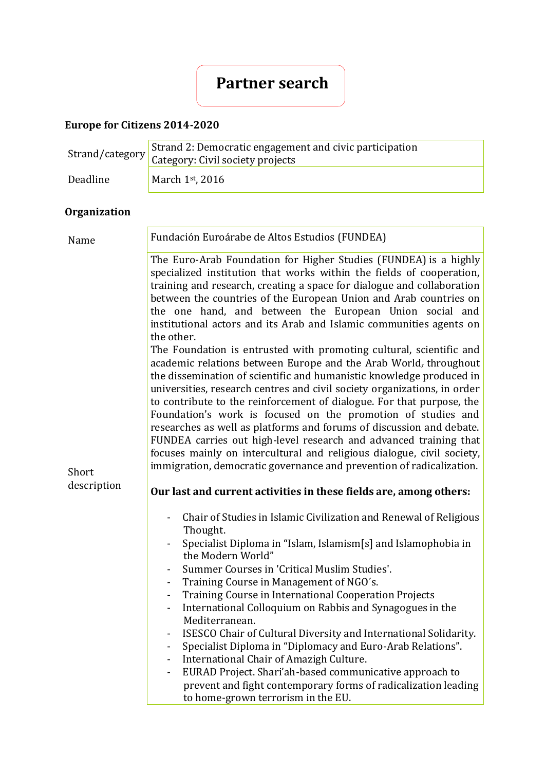# **Partner search**

### **Europe for Citizens 2014-2020**

|          | Strand 2: Democratic engagement and civic participation<br>Strand/category   Category: Civil society projects |
|----------|---------------------------------------------------------------------------------------------------------------|
| Deadline | March 1st, 2016                                                                                               |

## **Organization**

| Name                 | Fundación Euroárabe de Altos Estudios (FUNDEA)                                                                                                                                                                                                                                                                                                                                                                                                                                                                                                                                                                                                                                                                                      |
|----------------------|-------------------------------------------------------------------------------------------------------------------------------------------------------------------------------------------------------------------------------------------------------------------------------------------------------------------------------------------------------------------------------------------------------------------------------------------------------------------------------------------------------------------------------------------------------------------------------------------------------------------------------------------------------------------------------------------------------------------------------------|
| Short<br>description | The Euro-Arab Foundation for Higher Studies (FUNDEA) is a highly<br>specialized institution that works within the fields of cooperation,<br>training and research, creating a space for dialogue and collaboration<br>between the countries of the European Union and Arab countries on<br>the one hand, and between the European Union social and<br>institutional actors and its Arab and Islamic communities agents on<br>the other.                                                                                                                                                                                                                                                                                             |
|                      | The Foundation is entrusted with promoting cultural, scientific and<br>academic relations between Europe and the Arab World, throughout<br>the dissemination of scientific and humanistic knowledge produced in<br>universities, research centres and civil society organizations, in order<br>to contribute to the reinforcement of dialogue. For that purpose, the<br>Foundation's work is focused on the promotion of studies and<br>researches as well as platforms and forums of discussion and debate.<br>FUNDEA carries out high-level research and advanced training that<br>focuses mainly on intercultural and religious dialogue, civil society,<br>immigration, democratic governance and prevention of radicalization. |
|                      | Our last and current activities in these fields are, among others:                                                                                                                                                                                                                                                                                                                                                                                                                                                                                                                                                                                                                                                                  |
|                      | Chair of Studies in Islamic Civilization and Renewal of Religious<br>Thought.<br>Specialist Diploma in "Islam, Islamism[s] and Islamophobia in<br>the Modern World"                                                                                                                                                                                                                                                                                                                                                                                                                                                                                                                                                                 |
|                      | Summer Courses in 'Critical Muslim Studies'.                                                                                                                                                                                                                                                                                                                                                                                                                                                                                                                                                                                                                                                                                        |
|                      | Training Course in Management of NGO's.<br>Training Course in International Cooperation Projects                                                                                                                                                                                                                                                                                                                                                                                                                                                                                                                                                                                                                                    |
|                      | International Colloquium on Rabbis and Synagogues in the<br>Mediterranean.                                                                                                                                                                                                                                                                                                                                                                                                                                                                                                                                                                                                                                                          |
|                      | ISESCO Chair of Cultural Diversity and International Solidarity.<br>Specialist Diploma in "Diplomacy and Euro-Arab Relations".<br>International Chair of Amazigh Culture.                                                                                                                                                                                                                                                                                                                                                                                                                                                                                                                                                           |
|                      | EURAD Project. Shari'ah-based communicative approach to<br>prevent and fight contemporary forms of radicalization leading<br>to home-grown terrorism in the EU.                                                                                                                                                                                                                                                                                                                                                                                                                                                                                                                                                                     |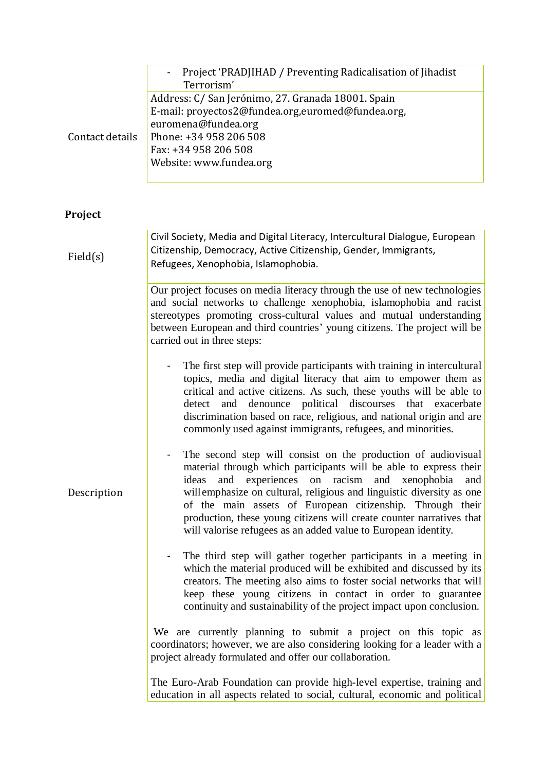|                 | Project 'PRADJIHAD / Preventing Radicalisation of Jihadist<br>Terrorism'                                                                                                                                                                                                                                                                                                                                                                                                                                                                                                                                                                                                                                                                                                                                                                                                                                                                                                                                                                                                                                                                                                                                                                                                                                                                                                                                                                                                                                                                                                                                                                                                                                                                                                                                                                                                                                                                                                             |
|-----------------|--------------------------------------------------------------------------------------------------------------------------------------------------------------------------------------------------------------------------------------------------------------------------------------------------------------------------------------------------------------------------------------------------------------------------------------------------------------------------------------------------------------------------------------------------------------------------------------------------------------------------------------------------------------------------------------------------------------------------------------------------------------------------------------------------------------------------------------------------------------------------------------------------------------------------------------------------------------------------------------------------------------------------------------------------------------------------------------------------------------------------------------------------------------------------------------------------------------------------------------------------------------------------------------------------------------------------------------------------------------------------------------------------------------------------------------------------------------------------------------------------------------------------------------------------------------------------------------------------------------------------------------------------------------------------------------------------------------------------------------------------------------------------------------------------------------------------------------------------------------------------------------------------------------------------------------------------------------------------------------|
| Contact details | Address: C/ San Jerónimo, 27. Granada 18001. Spain<br>E-mail: proyectos2@fundea.org,euromed@fundea.org,<br>euromena@fundea.org<br>Phone: +34 958 206 508<br>Fax: +34 958 206 508<br>Website: www.fundea.org                                                                                                                                                                                                                                                                                                                                                                                                                                                                                                                                                                                                                                                                                                                                                                                                                                                                                                                                                                                                                                                                                                                                                                                                                                                                                                                                                                                                                                                                                                                                                                                                                                                                                                                                                                          |
| Project         |                                                                                                                                                                                                                                                                                                                                                                                                                                                                                                                                                                                                                                                                                                                                                                                                                                                                                                                                                                                                                                                                                                                                                                                                                                                                                                                                                                                                                                                                                                                                                                                                                                                                                                                                                                                                                                                                                                                                                                                      |
| Field(s)        | Civil Society, Media and Digital Literacy, Intercultural Dialogue, European<br>Citizenship, Democracy, Active Citizenship, Gender, Immigrants,<br>Refugees, Xenophobia, Islamophobia.                                                                                                                                                                                                                                                                                                                                                                                                                                                                                                                                                                                                                                                                                                                                                                                                                                                                                                                                                                                                                                                                                                                                                                                                                                                                                                                                                                                                                                                                                                                                                                                                                                                                                                                                                                                                |
| Description     | Our project focuses on media literacy through the use of new technologies<br>and social networks to challenge xenophobia, islamophobia and racist<br>stereotypes promoting cross-cultural values and mutual understanding<br>between European and third countries' young citizens. The project will be<br>carried out in three steps:<br>The first step will provide participants with training in intercultural<br>topics, media and digital literacy that aim to empower them as<br>critical and active citizens. As such, these youths will be able to<br>denounce political discourses<br>that exacerbate<br>and<br>detect<br>discrimination based on race, religious, and national origin and are<br>commonly used against immigrants, refugees, and minorities.<br>The second step will consist on the production of audiovisual<br>material through which participants will be able to express their<br>and experiences on racism and xenophobia<br>and<br>ideas<br>will emphasize on cultural, religious and linguistic diversity as one<br>of the main assets of European citizenship. Through their<br>production, these young citizens will create counter narratives that<br>will valorise refugees as an added value to European identity.<br>The third step will gather together participants in a meeting in<br>which the material produced will be exhibited and discussed by its<br>creators. The meeting also aims to foster social networks that will<br>keep these young citizens in contact in order to guarantee<br>continuity and sustainability of the project impact upon conclusion.<br>We are currently planning to submit a project on this topic as<br>coordinators; however, we are also considering looking for a leader with a<br>project already formulated and offer our collaboration.<br>The Euro-Arab Foundation can provide high-level expertise, training and<br>education in all aspects related to social, cultural, economic and political |